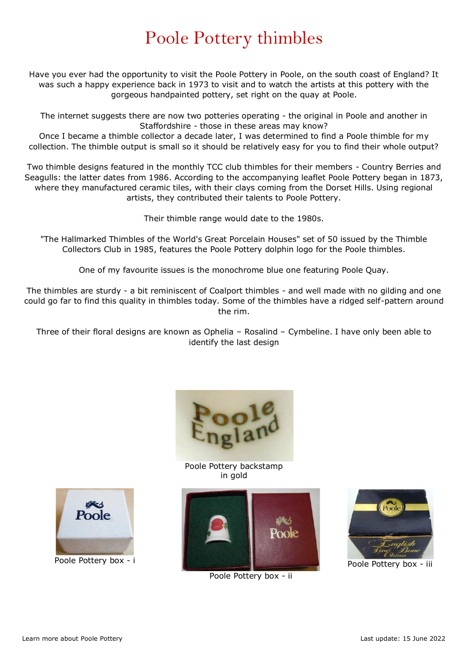## Poole Pottery thimbles

Have you ever had the opportunity to visit the Poole Pottery in Poole, on the south coast of England? It was such a happy experience back in 1973 to visit and to watch the artists at this pottery with the gorgeous handpainted pottery, set right on the quay at Poole.

The internet suggests there are now two potteries operating - the original in Poole and another in Staffordshire - those in these areas may know?

Once I became a thimble collector a decade later, I was determined to find a Poole thimble for my collection. The thimble output is small so it should be relatively easy for you to find their whole output?

Two thimble designs featured in the monthly TCC club thimbles for their members - Country Berries and Seagulls: the latter dates from 1986. According to the accompanying leaflet Poole Pottery began in 1873, where they manufactured ceramic tiles, with their clays coming from the Dorset Hills. Using regional artists, they contributed their talents to Poole Pottery.

Their thimble range would date to the 1980s.

"The Hallmarked Thimbles of the World's Great Porcelain Houses" set of 50 issued by the Thimble Collectors Club in 1985, features the Poole Pottery dolphin logo for the Poole thimbles.

One of my favourite issues is the monochrome blue one featuring Poole Quay.

The thimbles are sturdy - a bit reminiscent of Coalport thimbles - and well made with no gilding and one could go far to find this quality in thimbles today. Some of the thimbles have a ridged self-pattern around the rim.

Three of their floral designs are known as Ophelia – Rosalind – Cymbeline. I have only been able to identify the last design



Poole Pottery backstamp in gold



Poole Pottery box - ii



Poole Pottery box - iii



Poole Pottery box - i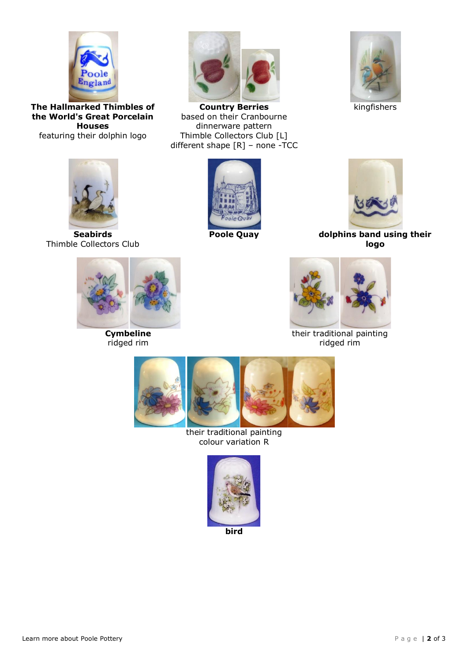

**The Hallmarked Thimbles of the World's Great Porcelain Houses** featuring their dolphin logo



**Country Berries** based on their Cranbourne dinnerware pattern Thimble Collectors Club [L] different shape [R] – none -TCC



kingfishers



**Seabirds** Thimble Collectors Club





**Poole Quay dolphins band using their logo**



**Cymbeline** ridged rim



their traditional painting ridged rim



their traditional painting colour variation R



**bird**